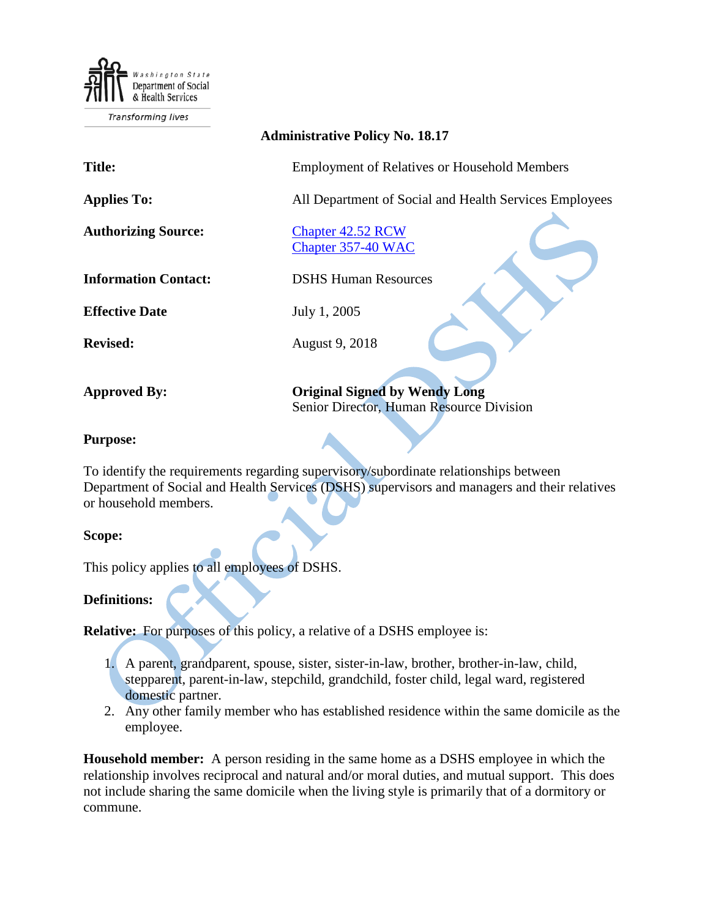Department of Social & Health Services

**Transforming lives** 

## **Administrative Policy No. 18.17**

**Title:** Employment of Relatives or Household Members

**Applies To:** All Department of Social and Health Services Employees

**Authorizing Source:** [Chapter 42.52 RCW](http://apps.leg.wa.gov/RCW/default.aspx?cite=42.52) [Chapter 357-40 WAC](http://apps.leg.wa.gov/WAC/default.aspx?cite=357-40)

**Information Contact:** DSHS Human Resources

**Effective Date** July 1, 2005

**Revised:** August 9, 2018

**Approved By: Original Signed by Wendy Long** Senior Director, Human Resource Division

### **Purpose:**

To identify the requirements regarding supervisory/subordinate relationships between Department of Social and Health Services (DSHS) supervisors and managers and their relatives or household members.

#### **Scope:**

This policy applies to all employees of DSHS.

## **Definitions:**

**Relative:** For purposes of this policy, a relative of a DSHS employee is:

1. A parent, grandparent, spouse, sister, sister-in-law, brother, brother-in-law, child, stepparent, parent-in-law, stepchild, grandchild, foster child, legal ward, registered domestic partner.

2. Any other family member who has established residence within the same domicile as the employee.

**Household member:** A person residing in the same home as a DSHS employee in which the relationship involves reciprocal and natural and/or moral duties, and mutual support. This does not include sharing the same domicile when the living style is primarily that of a dormitory or commune.